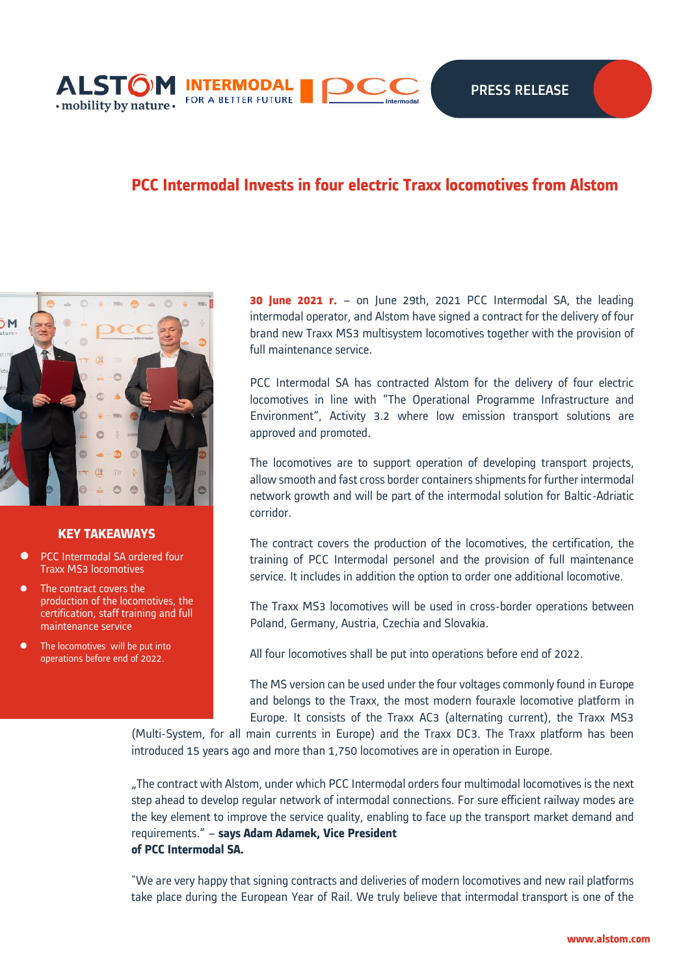

# **PCC Intermodal Invests in four electric Traxx locomotives from Alstom**



## **KEY TAKEAWAYS**

- ⚫ PCC Intermodal SA ordered four Traxx MS3 locomotives
- ⚫ The contract covers the production of the locomotives, the certification, staff training and full maintenance service
- The locomotives will be put into operations before end of 2022.

**30 June 2021 r.** – on June 29th, 2021 PCC Intermodal SA, the leading intermodal operator, and Alstom have signed a contract for the delivery of four brand new Traxx MS3 multisystem locomotives together with the provision of full maintenance service.

PCC Intermodal SA has contracted Alstom for the delivery of four electric locomotives in line with "The Operational Programme Infrastructure and Environment", Activity 3.2 where low emission transport solutions are approved and promoted.

The locomotives are to support operation of developing transport projects, allow smooth and fast cross border containers shipments for further intermodal network growth and will be part of the intermodal solution for Baltic-Adriatic corridor.

The contract covers the production of the locomotives, the certification, the training of PCC Intermodal personel and the provision of full maintenance service. It includes in addition the option to order one additional locomotive.

The Traxx MS3 locomotives will be used in cross-border operations between Poland, Germany, Austria, Czechia and Slovakia.

All four locomotives shall be put into operations before end of 2022.

The MS version can be used under the four voltages commonly found in Europe and belongs to the Traxx, the most modern fouraxle locomotive platform in Europe. It consists of the Traxx AC3 (alternating current), the Traxx MS3

(Multi-System, for all main currents in Europe) and the Traxx DC3. The Traxx platform has been introduced 15 years ago and more than 1,750 locomotives are in operation in Europe.

"The contract with Alstom, under which PCC Intermodal orders four multimodal locomotives is the next step ahead to develop regular network of intermodal connections. For sure efficient railway modes are the key element to improve the service quality, enabling to face up the transport market demand and requirements." – **says Adam Adamek, Vice President of PCC Intermodal SA.**

"We are very happy that signing contracts and deliveries of modern locomotives and new rail platforms take place during the European Year of Rail. We truly believe that intermodal transport is one of the